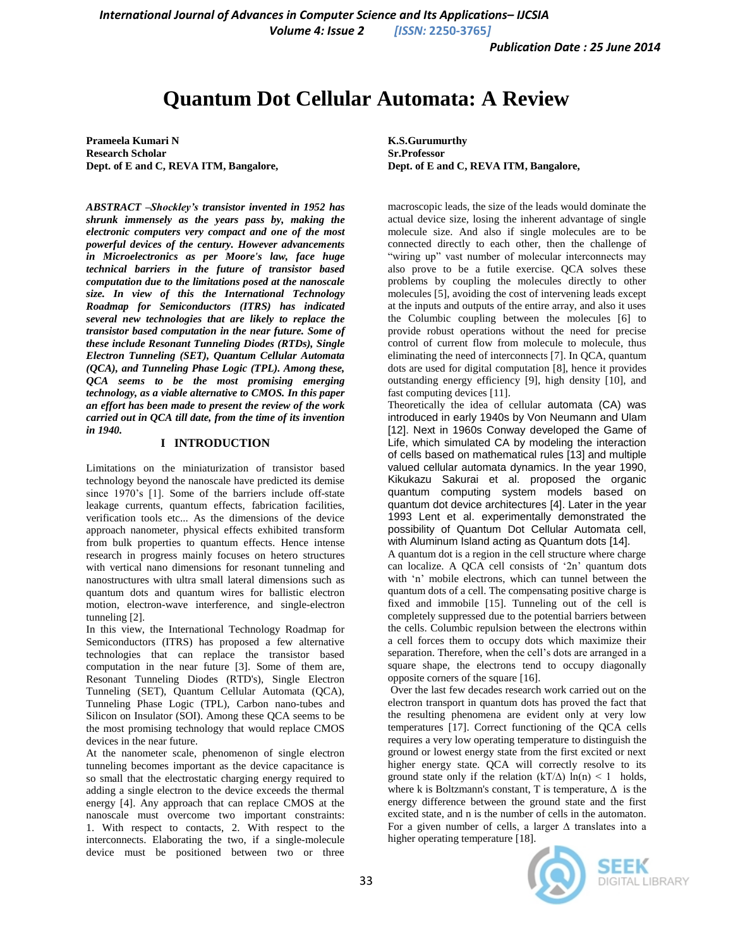*International Journal of Advances in Computer Science and Its Applications– IJCSIA*

*Volume 4: Issue 2 [ISSN:* **2250-3765***]*

# **Quantum Dot Cellular Automata: A Review**

**Prameela Kumari N Research Scholar Dept. of E and C, REVA ITM, Bangalore,**

*ABSTRACT –Shockley's transistor invented in 1952 has shrunk immensely as the years pass by, making the electronic computers very compact and one of the most powerful devices of the century. However advancements in Microelectronics as per Moore's law, face huge technical barriers in the future of transistor based computation due to the limitations posed at the nanoscale size. In view of this the International Technology Roadmap for Semiconductors (ITRS) has indicated several new technologies that are likely to replace the transistor based computation in the near future. Some of these include Resonant Tunneling Diodes (RTDs), Single Electron Tunneling (SET), Quantum Cellular Automata (QCA), and Tunneling Phase Logic (TPL). Among these, QCA seems to be the most promising emerging technology, as a viable alternative to CMOS. In this paper an effort has been made to present the review of the work carried out in QCA till date, from the time of its invention in 1940.*

# **I INTRODUCTION**

Limitations on the miniaturization of transistor based technology beyond the nanoscale have predicted its demise since 1970's [1]. Some of the barriers include off-state leakage currents, quantum effects, fabrication facilities, verification tools etc... As the dimensions of the device approach nanometer, physical effects exhibited transform from bulk properties to quantum effects. Hence intense research in progress mainly focuses on hetero structures with vertical nano dimensions for resonant tunneling and nanostructures with ultra small lateral dimensions such as quantum dots and quantum wires for ballistic electron motion, electron-wave interference, and single-electron tunneling [2].

In this view, the International Technology Roadmap for Semiconductors (ITRS) has proposed a few alternative technologies that can replace the transistor based computation in the near future [3]. Some of them are, Resonant Tunneling Diodes (RTD's), Single Electron Tunneling (SET), Quantum Cellular Automata (QCA), Tunneling Phase Logic (TPL), Carbon nano-tubes and Silicon on Insulator (SOI). Among these QCA seems to be the most promising technology that would replace CMOS devices in the near future.

At the nanometer scale, phenomenon of single electron tunneling becomes important as the device capacitance is so small that the electrostatic charging energy required to adding a single electron to the device exceeds the thermal energy [4]. Any approach that can replace CMOS at the nanoscale must overcome two important constraints: 1. With respect to contacts, 2. With respect to the interconnects. Elaborating the two, if a single-molecule device must be positioned between two or three **K.S.Gurumurthy Sr.Professor Dept. of E and C, REVA ITM, Bangalore,**

macroscopic leads, the size of the leads would dominate the actual device size, losing the inherent advantage of single molecule size. And also if single molecules are to be connected directly to each other, then the challenge of "wiring up" vast number of molecular interconnects may also prove to be a futile exercise. QCA solves these problems by coupling the molecules directly to other molecules [5], avoiding the cost of intervening leads except at the inputs and outputs of the entire array, and also it uses the Columbic coupling between the molecules [6] to provide robust operations without the need for precise control of current flow from molecule to molecule, thus eliminating the need of interconnects [7]. In QCA, quantum dots are used for digital computation [8], hence it provides outstanding energy efficiency [9], high density [10], and fast computing devices [11].

Theoretically the idea of cellular automata (CA) was introduced in early 1940s by Von Neumann and Ulam [12]. Next in 1960s Conway developed the Game of Life, which simulated CA by modeling the interaction of cells based on mathematical rules [13] and multiple valued cellular automata dynamics. In the year 1990, Kikukazu Sakurai et al. proposed the organic quantum computing system models based on quantum dot device architectures [4]. Later in the year 1993 Lent et al. experimentally demonstrated the possibility of Quantum Dot Cellular Automata cell, with Aluminum Island acting as Quantum dots [14].

A quantum dot is a region in the cell structure where charge can localize. A QCA cell consists of '2n' quantum dots with 'n' mobile electrons, which can tunnel between the quantum dots of a cell. The compensating positive charge is fixed and immobile [15]. Tunneling out of the cell is completely suppressed due to the potential barriers between the cells. Columbic repulsion between the electrons within a cell forces them to occupy dots which maximize their separation. Therefore, when the cell's dots are arranged in a square shape, the electrons tend to occupy diagonally opposite corners of the square [16].

Over the last few decades research work carried out on the electron transport in quantum dots has proved the fact that the resulting phenomena are evident only at very low temperatures [17]. Correct functioning of the QCA cells requires a very low operating temperature to distinguish the ground or lowest energy state from the first excited or next higher energy state. QCA will correctly resolve to its ground state only if the relation  $(kT/\Delta) \ln(n) < 1$  holds, where k is Boltzmann's constant, T is temperature,  $\Delta$  is the energy difference between the ground state and the first excited state, and n is the number of cells in the automaton. For a given number of cells, a larger ∆ translates into a higher operating temperature [18].

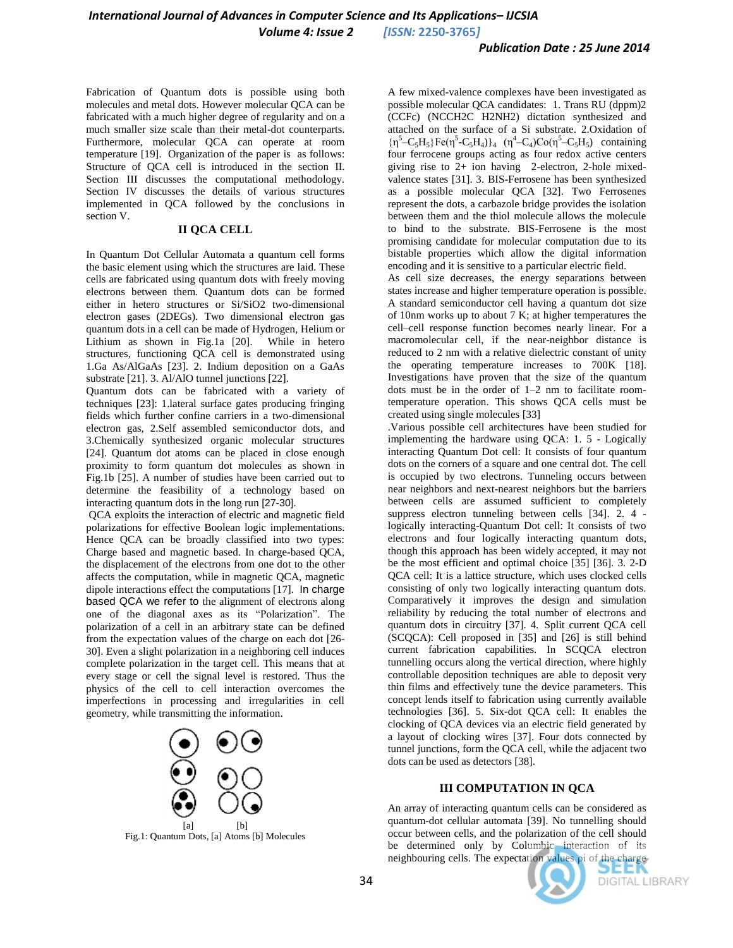Fabrication of Quantum dots is possible using both molecules and metal dots. However molecular QCA can be fabricated with a much higher degree of regularity and on a much smaller size scale than their metal-dot counterparts. Furthermore, molecular QCA can operate at room temperature [19]. Organization of the paper is as follows: Structure of QCA cell is introduced in the section II. Section III discusses the computational methodology. Section IV discusses the details of various structures implemented in QCA followed by the conclusions in section V.

#### **II QCA CELL**

In Quantum Dot Cellular Automata a quantum cell forms the basic element using which the structures are laid. These cells are fabricated using quantum dots with freely moving electrons between them. Quantum dots can be formed either in hetero structures or Si/SiO2 two-dimensional electron gases (2DEGs). Two dimensional electron gas quantum dots in a cell can be made of Hydrogen, Helium or Lithium as shown in Fig.1a [20]. While in hetero structures, functioning QCA cell is demonstrated using 1.Ga As/AlGaAs [23]. 2. Indium deposition on a GaAs substrate [21]. 3. Al/AlO tunnel junctions [22].

Quantum dots can be fabricated with a variety of techniques [23]: 1.lateral surface gates producing fringing fields which further confine carriers in a two-dimensional electron gas, 2.Self assembled semiconductor dots, and 3.Chemically synthesized organic molecular structures [24]. Quantum dot atoms can be placed in close enough proximity to form quantum dot molecules as shown in Fig.1b [25]. A number of studies have been carried out to determine the feasibility of a technology based on interacting quantum dots in the long run [27-30].

QCA exploits the interaction of electric and magnetic field polarizations for effective Boolean logic implementations. Hence QCA can be broadly classified into two types: Charge based and magnetic based. In charge-based QCA, the displacement of the electrons from one dot to the other affects the computation, while in magnetic QCA, magnetic dipole interactions effect the computations [17]. In charge based QCA we refer to the alignment of electrons along one of the diagonal axes as its "Polarization". The polarization of a cell in an arbitrary state can be defined from the expectation values of the charge on each dot [26- 30]. Even a slight polarization in a neighboring cell induces complete polarization in the target cell. This means that at every stage or cell the signal level is restored. Thus the physics of the cell to cell interaction overcomes the imperfections in processing and irregularities in cell geometry, while transmitting the information.



Fig.1: Quantum Dots, [a] Atoms [b] Molecules

A few mixed-valence complexes have been investigated as possible molecular QCA candidates: 1. Trans RU (dppm)2 (CCFc) (NCCH2C H2NH2) dictation synthesized and attached on the surface of a Si substrate. 2.Oxidation of  ${\eta^5 - C_5 H_5}Fe(\eta^5 - C_5 H_4)$ <sub>4</sub>  ${(\eta^4 - C_4)Co(\eta^5 - C_5 H_5)}$  containing four ferrocene groups acting as four redox active centers giving rise to 2+ ion having 2-electron, 2-hole mixedvalence states [31]. 3. BIS-Ferrosene has been synthesized as a possible molecular QCA [32]. Two Ferrosenes represent the dots, a carbazole bridge provides the isolation between them and the thiol molecule allows the molecule to bind to the substrate. BIS-Ferrosene is the most promising candidate for molecular computation due to its bistable properties which allow the digital information encoding and it is sensitive to a particular electric field.

As cell size decreases, the energy separations between states increase and higher temperature operation is possible. A standard semiconductor cell having a quantum dot size of 10nm works up to about 7 K; at higher temperatures the cell–cell response function becomes nearly linear. For a macromolecular cell, if the near-neighbor distance is reduced to 2 nm with a relative dielectric constant of unity the operating temperature increases to 700K [18]. Investigations have proven that the size of the quantum dots must be in the order of 1–2 nm to facilitate roomtemperature operation. This shows QCA cells must be created using single molecules [33]

.Various possible cell architectures have been studied for implementing the hardware using QCA: 1. 5 - Logically interacting Quantum Dot cell: It consists of four quantum dots on the corners of a square and one central dot. The cell is occupied by two electrons. Tunneling occurs between near neighbors and next-nearest neighbors but the barriers between cells are assumed sufficient to completely suppress electron tunneling between cells [34]. 2. 4 logically interacting-Quantum Dot cell: It consists of two electrons and four logically interacting quantum dots, though this approach has been widely accepted, it may not be the most efficient and optimal choice [35] [36]. 3. 2-D QCA cell: It is a lattice structure, which uses clocked cells consisting of only two logically interacting quantum dots. Comparatively it improves the design and simulation reliability by reducing the total number of electrons and quantum dots in circuitry [37]. 4. Split current QCA cell (SCQCA): Cell proposed in [35] and [26] is still behind current fabrication capabilities. In SCQCA electron tunnelling occurs along the vertical direction, where highly controllable deposition techniques are able to deposit very thin films and effectively tune the device parameters. This concept lends itself to fabrication using currently available technologies [36]. 5. Six-dot QCA cell: It enables the clocking of QCA devices via an electric field generated by a layout of clocking wires [37]. Four dots connected by tunnel junctions, form the QCA cell, while the adjacent two dots can be used as detectors [38].

## **III COMPUTATION IN QCA**

An array of interacting quantum cells can be considered as quantum-dot cellular automata [39]. No tunnelling should occur between cells, and the polarization of the cell should be determined only by Columbic interaction of its neighbouring cells. The expectation values ρi of the charge

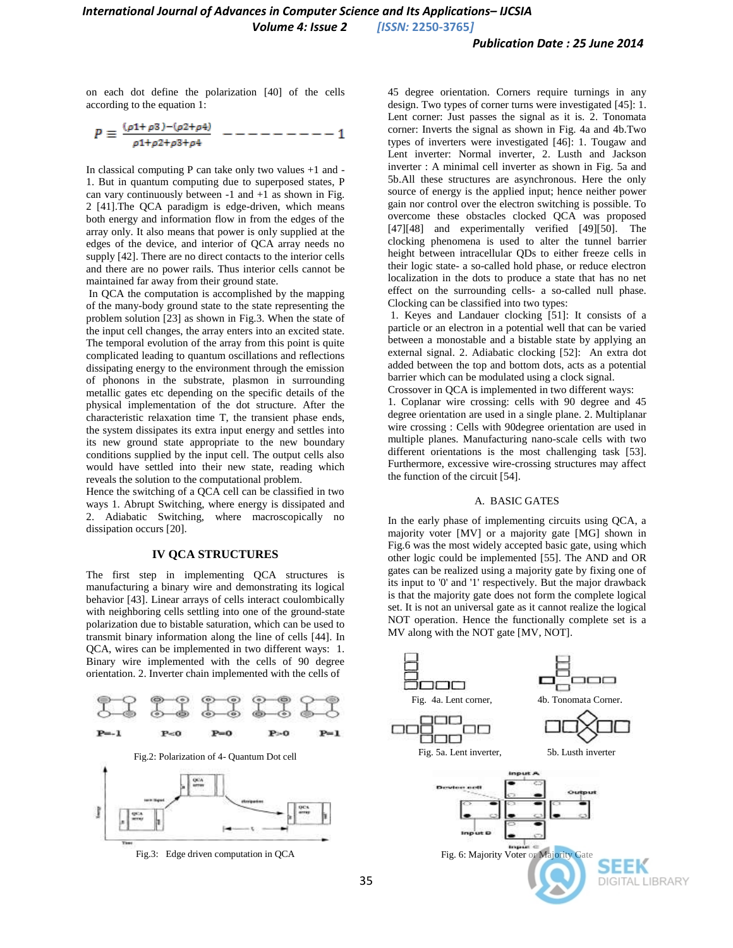*Volume 4: Issue 2 [ISSN:* **2250-3765***]*

on each dot define the polarization [40] of the cells according to the equation 1:

$$
P \equiv \frac{(\rho 1 + \rho 3) - (\rho 2 + \rho 4)}{\rho 1 + \rho 2 + \rho 3 + \rho 4} \quad - - - - - - - - - 1
$$

In classical computing P can take only two values +1 and - 1. But in quantum computing due to superposed states, P can vary continuously between  $-1$  and  $+1$  as shown in Fig. 2 [41].The QCA paradigm is edge-driven, which means both energy and information flow in from the edges of the array only. It also means that power is only supplied at the edges of the device, and interior of QCA array needs no supply [42]. There are no direct contacts to the interior cells and there are no power rails. Thus interior cells cannot be maintained far away from their ground state.

In QCA the computation is accomplished by the mapping of the many-body ground state to the state representing the problem solution [23] as shown in Fig.3. When the state of the input cell changes, the array enters into an excited state. The temporal evolution of the array from this point is quite complicated leading to quantum oscillations and reflections dissipating energy to the environment through the emission of phonons in the substrate, plasmon in surrounding metallic gates etc depending on the specific details of the physical implementation of the dot structure. After the characteristic relaxation time T, the transient phase ends, the system dissipates its extra input energy and settles into its new ground state appropriate to the new boundary conditions supplied by the input cell. The output cells also would have settled into their new state, reading which reveals the solution to the computational problem.

Hence the switching of a QCA cell can be classified in two ways 1. Abrupt Switching, where energy is dissipated and 2. Adiabatic Switching, where macroscopically no dissipation occurs [20].

## **IV QCA STRUCTURES**

The first step in implementing QCA structures is manufacturing a binary wire and demonstrating its logical behavior [43]. Linear arrays of cells interact coulombically with neighboring cells settling into one of the ground-state polarization due to bistable saturation, which can be used to transmit binary information along the line of cells [44]. In QCA, wires can be implemented in two different ways: 1. Binary wire implemented with the cells of 90 degree orientation. 2. Inverter chain implemented with the cells of



Fig.3: Edge driven computation in QCA

45 degree orientation. Corners require turnings in any design. Two types of corner turns were investigated [45]: 1. Lent corner: Just passes the signal as it is. 2. Tonomata corner: Inverts the signal as shown in Fig. 4a and 4b.Two types of inverters were investigated [46]: 1. Tougaw and Lent inverter: Normal inverter, 2. Lusth and Jackson inverter : A minimal cell inverter as shown in Fig. 5a and 5b.All these structures are asynchronous. Here the only source of energy is the applied input; hence neither power gain nor control over the electron switching is possible. To overcome these obstacles clocked QCA was proposed [47][48] and experimentally verified [49][50]. The clocking phenomena is used to alter the tunnel barrier height between intracellular QDs to either freeze cells in their logic state- a so-called hold phase, or reduce electron localization in the dots to produce a state that has no net effect on the surrounding cells- a so-called null phase. Clocking can be classified into two types:

1. Keyes and Landauer clocking [51]: It consists of a particle or an electron in a potential well that can be varied between a monostable and a bistable state by applying an external signal. 2. Adiabatic clocking [52]: An extra dot added between the top and bottom dots, acts as a potential barrier which can be modulated using a clock signal.

Crossover in QCA is implemented in two different ways: 1. Coplanar wire crossing: cells with 90 degree and 45 degree orientation are used in a single plane. 2. Multiplanar wire crossing : Cells with 90degree orientation are used in multiple planes. Manufacturing nano-scale cells with two different orientations is the most challenging task [53]. Furthermore, excessive wire-crossing structures may affect the function of the circuit [54].

### A. BASIC GATES

In the early phase of implementing circuits using QCA, a majority voter [MV] or a majority gate [MG] shown in Fig.6 was the most widely accepted basic gate, using which other logic could be implemented [55]. The AND and OR gates can be realized using a majority gate by fixing one of its input to '0' and '1' respectively. But the major drawback is that the majority gate does not form the complete logical set. It is not an universal gate as it cannot realize the logical NOT operation. Hence the functionally complete set is a MV along with the NOT gate [MV, NOT].

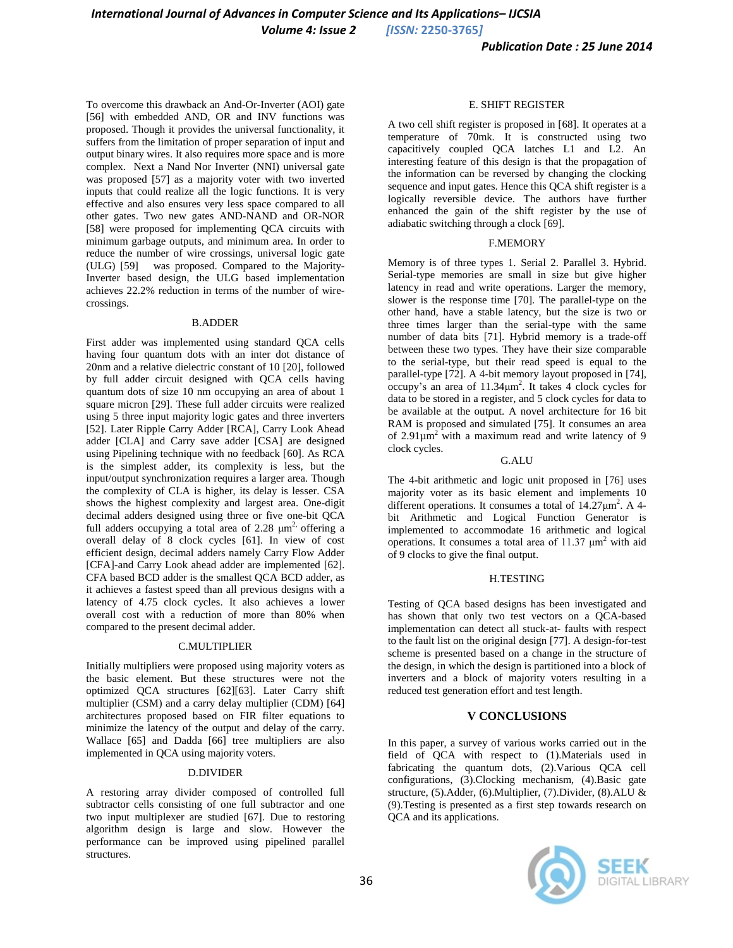*Volume 4: Issue 2 [ISSN:* **2250-3765***]*

To overcome this drawback an And-Or-Inverter (AOI) gate [56] with embedded AND, OR and INV functions was proposed. Though it provides the universal functionality, it suffers from the limitation of proper separation of input and output binary wires. It also requires more space and is more complex. Next a Nand Nor Inverter (NNI) universal gate was proposed [57] as a majority voter with two inverted inputs that could realize all the logic functions. It is very effective and also ensures very less space compared to all other gates. Two new gates AND-NAND and OR-NOR [58] were proposed for implementing QCA circuits with minimum garbage outputs, and minimum area. In order to reduce the number of wire crossings, universal logic gate (ULG) [59] was proposed. Compared to the Majority-Inverter based design, the ULG based implementation achieves 22.2% reduction in terms of the number of wirecrossings.

#### B.ADDER

First adder was implemented using standard QCA cells having four quantum dots with an inter dot distance of 20nm and a relative dielectric constant of 10 [20], followed by full adder circuit designed with QCA cells having quantum dots of size 10 nm occupying an area of about 1 square micron [29]. These full adder circuits were realized using 5 three input majority logic gates and three inverters [52]. Later Ripple Carry Adder [RCA], Carry Look Ahead adder [CLA] and Carry save adder [CSA] are designed using Pipelining technique with no feedback [60]. As RCA is the simplest adder, its complexity is less, but the input/output synchronization requires a larger area. Though the complexity of CLA is higher, its delay is lesser. CSA shows the highest complexity and largest area. One-digit decimal adders designed using three or five one-bit QCA full adders occupying a total area of 2.28  $\mu$ m<sup>2,</sup> offering a overall delay of 8 clock cycles [61]. In view of cost efficient design, decimal adders namely Carry Flow Adder [CFA]-and Carry Look ahead adder are implemented [62]. CFA based BCD adder is the smallest QCA BCD adder, as it achieves a fastest speed than all previous designs with a latency of 4.75 clock cycles. It also achieves a lower overall cost with a reduction of more than 80% when compared to the present decimal adder.

#### C.MULTIPLIER

Initially multipliers were proposed using majority voters as the basic element. But these structures were not the optimized QCA structures [62][63]. Later Carry shift multiplier (CSM) and a carry delay multiplier (CDM) [64] architectures proposed based on FIR filter equations to minimize the latency of the output and delay of the carry. Wallace [65] and Dadda [66] tree multipliers are also implemented in QCA using majority voters.

#### D.DIVIDER

A restoring array divider composed of controlled full subtractor cells consisting of one full subtractor and one two input multiplexer are studied [67]. Due to restoring algorithm design is large and slow. However the performance can be improved using pipelined parallel structures.

#### E. SHIFT REGISTER

A two cell shift register is proposed in [68]. It operates at a temperature of 70mk. It is constructed using two capacitively coupled QCA latches L1 and L2. An interesting feature of this design is that the propagation of the information can be reversed by changing the clocking sequence and input gates. Hence this QCA shift register is a logically reversible device. The authors have further enhanced the gain of the shift register by the use of adiabatic switching through a clock [69].

#### F.MEMORY

Memory is of three types 1. Serial 2. Parallel 3. Hybrid. Serial-type memories are small in size but give higher latency in read and write operations. Larger the memory, slower is the response time [70]. The parallel-type on the other hand, have a stable latency, but the size is two or three times larger than the serial-type with the same number of data bits [71]. Hybrid memory is a trade-off between these two types. They have their size comparable to the serial-type, but their read speed is equal to the parallel-type [72]. A 4-bit memory layout proposed in [74],  $\alpha$  occupy's an area of 11.34 $\mu$ m<sup>2</sup>. It takes 4 clock cycles for data to be stored in a register, and 5 clock cycles for data to be available at the output. A novel architecture for 16 bit RAM is proposed and simulated [75]. It consumes an area of  $2.91 \mu m^2$  with a maximum read and write latency of 9 clock cycles.

#### G.ALU

The 4-bit arithmetic and logic unit proposed in [76] uses majority voter as its basic element and implements 10 different operations. It consumes a total of  $14.27 \mu m^2$ . A 4bit Arithmetic and Logical Function Generator is implemented to accommodate 16 arithmetic and logical operations. It consumes a total area of  $11.37 \mu m^2$  with aid of 9 clocks to give the final output.

#### H.TESTING

Testing of QCA based designs has been investigated and has shown that only two test vectors on a QCA-based implementation can detect all stuck-at- faults with respect to the fault list on the original design [77]. A design-for-test scheme is presented based on a change in the structure of the design, in which the design is partitioned into a block of inverters and a block of majority voters resulting in a reduced test generation effort and test length.

#### **V CONCLUSIONS**

In this paper, a survey of various works carried out in the field of QCA with respect to (1).Materials used in fabricating the quantum dots, (2).Various QCA cell configurations, (3).Clocking mechanism, (4).Basic gate structure, (5).Adder, (6).Multiplier, (7).Divider, (8).ALU & (9).Testing is presented as a first step towards research on QCA and its applications.